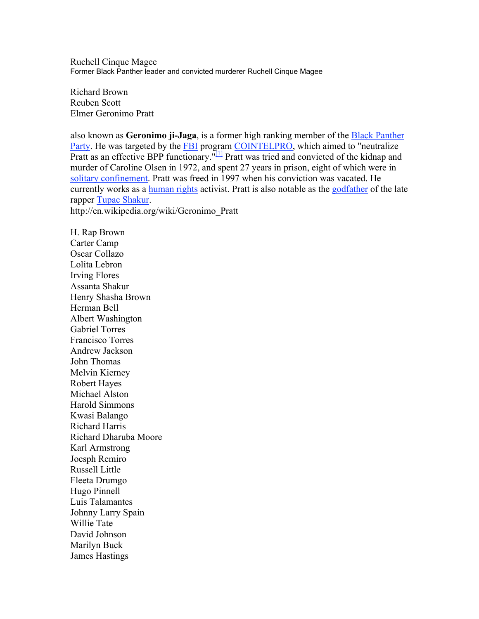Ruchell Cinque Magee Former Black Panther leader and convicted murderer Ruchell Cinque Magee

Richard Brown Reuben Scott Elmer Geronimo Pratt

also known as **Geronimo ji-Jaga**, is a former high ranking member of the Black Panther Party. He was targeted by the **FBI** program COINTELPRO, which aimed to "neutralize Pratt as an effective BPP functionary.<sup>"[1]</sup> Pratt was tried and convicted of the kidnap and murder of Caroline Olsen in 1972, and spent 27 years in prison, eight of which were in solitary confinement. Pratt was freed in 1997 when his conviction was vacated. He currently works as a human rights activist. Pratt is also notable as the godfather of the late rapper Tupac Shakur. http://en.wikipedia.org/wiki/Geronimo\_Pratt

H. Rap Brown Carter Camp Oscar Collazo Lolita Lebron Irving Flores Assanta Shakur Henry Shasha Brown Herman Bell Albert Washington Gabriel Torres Francisco Torres Andrew Jackson John Thomas Melvin Kierney Robert Hayes Michael Alston Harold Simmons Kwasi Balango Richard Harris Richard Dharuba Moore Karl Armstrong Joesph Remiro Russell Little Fleeta Drumgo Hugo Pinnell Luis Talamantes Johnny Larry Spain Willie Tate David Johnson Marilyn Buck James Hastings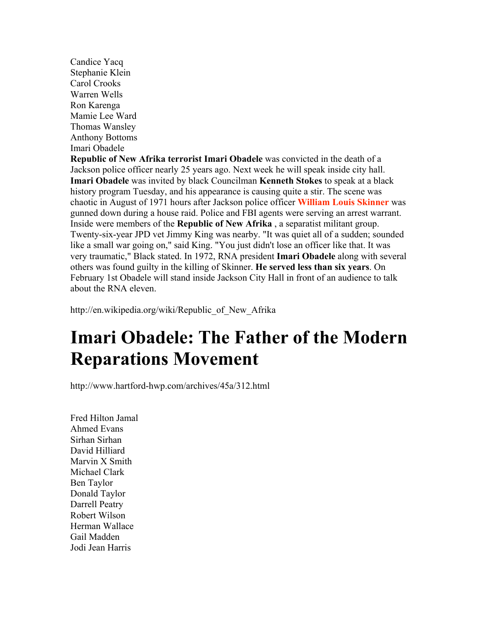Candice Yacq Stephanie Klein Carol Crooks Warren Wells Ron Karenga Mamie Lee Ward Thomas Wansley Anthony Bottoms Imari Obadele

**Republic of New Afrika terrorist Imari Obadele** was convicted in the death of a Jackson police officer nearly 25 years ago. Next week he will speak inside city hall. **Imari Obadele** was invited by black Councilman **Kenneth Stokes** to speak at a black history program Tuesday, and his appearance is causing quite a stir. The scene was chaotic in August of 1971 hours after Jackson police officer **William Louis Skinner** was gunned down during a house raid. Police and FBI agents were serving an arrest warrant. Inside were members of the **Republic of New Afrika** , a separatist militant group. Twenty-six-year JPD vet Jimmy King was nearby. "It was quiet all of a sudden; sounded like a small war going on," said King. "You just didn't lose an officer like that. It was very traumatic," Black stated. In 1972, RNA president **Imari Obadele** along with several others was found guilty in the killing of Skinner. **He served less than six years**. On February 1st Obadele will stand inside Jackson City Hall in front of an audience to talk about the RNA eleven.

http://en.wikipedia.org/wiki/Republic\_of\_New\_Afrika

## **Imari Obadele: The Father of the Modern Reparations Movement**

http://www.hartford-hwp.com/archives/45a/312.html

Fred Hilton Jamal Ahmed Evans Sirhan Sirhan David Hilliard Marvin X Smith Michael Clark Ben Taylor Donald Taylor Darrell Peatry Robert Wilson Herman Wallace Gail Madden Jodi Jean Harris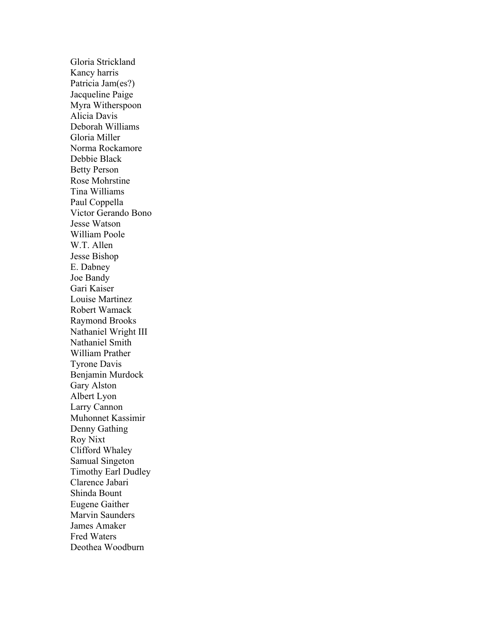Gloria Strickland Kancy harris Patricia Jam(es?) Jacqueline Paige Myra Witherspoon Alicia Davis Deborah Williams Gloria Miller Norma Rockamore Debbie Black Betty Person Rose Mohrstine Tina Williams Paul Coppella Victor Gerando Bono Jesse Watson William Poole W.T. Allen Jesse Bishop E. Dabney Joe Bandy Gari Kaiser Louise Martinez Robert Wamack Raymond Brooks Nathaniel Wright III Nathaniel Smith William Prather Tyrone Davis Benjamin Murdock Gary Alston Albert Lyon Larry Cannon Muhonnet Kassimir Denny Gathing Roy Nixt Clifford Whaley Samual Singeton Timothy Earl Dudley Clarence Jabari Shinda Bount Eugene Gaither Marvin Saunders James Amaker Fred Waters Deothea Woodburn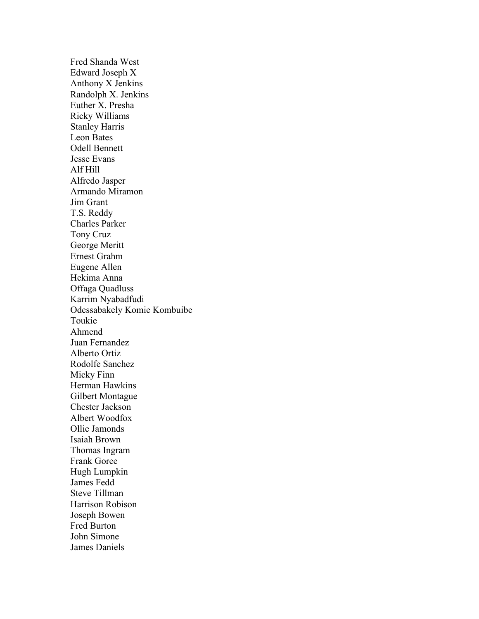Fred Shanda West Edward Joseph X Anthony X Jenkins Randolph X. Jenkins Euther X. Presha Ricky Williams Stanley Harris Leon Bates Odell Bennett Jesse Evans Alf Hill Alfredo Jasper Armando Miramon Jim Grant T.S. Reddy Charles Parker Tony Cruz George Meritt Ernest Grahm Eugene Allen Hekima Anna Offaga Quadluss Karrim Nyabadfudi Odessabakely Komie Kombuibe Toukie Ahmend Juan Fernandez Alberto Ortiz Rodolfe Sanchez Micky Finn Herman Hawkins Gilbert Montague Chester Jackson Albert Woodfox Ollie Jamonds Isaiah Brown Thomas Ingram Frank Goree Hugh Lumpkin James Fedd Steve Tillman Harrison Robison Joseph Bowen Fred Burton John Simone James Daniels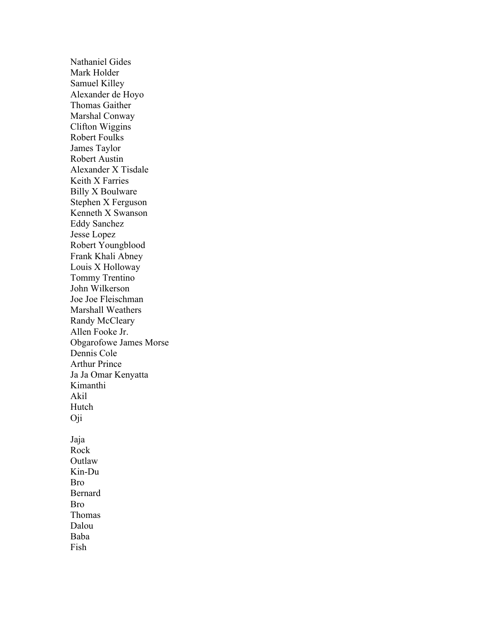Nathaniel Gides Mark Holder Samuel Killey Alexander de Hoyo Thomas Gaither Marshal Conway Clifton Wiggins Robert Foulks James Taylor Robert Austin Alexander X Tisdale Keith X Farries Billy X Boulware Stephen X Ferguson Kenneth X Swanson Eddy Sanchez Jesse Lopez Robert Youngblood Frank Khali Abney Louis X Holloway Tommy Trentino John Wilkerson Joe Joe Fleischman Marshall Weathers Randy McCleary Allen Fooke Jr. Obgarofowe James Morse Dennis Cole Arthur Prince Ja Ja Omar Kenyatta Kimanthi Akil Hutch Oji Jaja Rock **Outlaw** Kin-Du Bro Bernard Bro Thomas Dalou Baba Fish